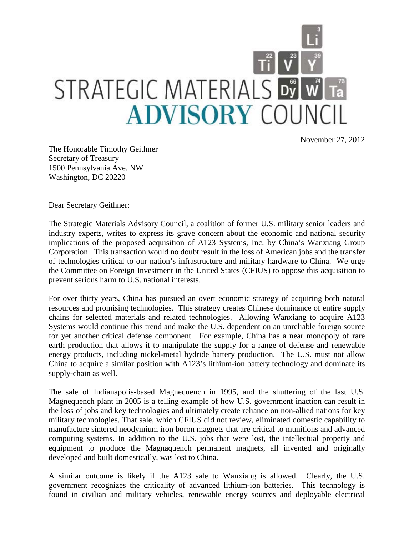

November 27, 2012

The Honorable Timothy Geithner Secretary of Treasury 1500 Pennsylvania Ave. NW Washington, DC 20220

Dear Secretary Geithner:

The Strategic Materials Advisory Council, a coalition of former U.S. military senior leaders and industry experts, writes to express its grave concern about the economic and national security implications of the proposed acquisition of A123 Systems, Inc. by China's Wanxiang Group Corporation. This transaction would no doubt result in the loss of American jobs and the transfer of technologies critical to our nation's infrastructure and military hardware to China. We urge the Committee on Foreign Investment in the United States (CFIUS) to oppose this acquisition to prevent serious harm to U.S. national interests.

For over thirty years, China has pursued an overt economic strategy of acquiring both natural resources and promising technologies. This strategy creates Chinese dominance of entire supply chains for selected materials and related technologies. Allowing Wanxiang to acquire A123 Systems would continue this trend and make the U.S. dependent on an unreliable foreign source for yet another critical defense component. For example, China has a near monopoly of rare earth production that allows it to manipulate the supply for a range of defense and renewable energy products, including nickel-metal hydride battery production. The U.S. must not allow China to acquire a similar position with A123's lithium-ion battery technology and dominate its supply-chain as well.

The sale of Indianapolis-based Magnequench in 1995, and the shuttering of the last U.S. Magnequench plant in 2005 is a telling example of how U.S. government inaction can result in the loss of jobs and key technologies and ultimately create reliance on non-allied nations for key military technologies. That sale, which CFIUS did not review, eliminated domestic capability to manufacture sintered neodymium iron boron magnets that are critical to munitions and advanced computing systems. In addition to the U.S. jobs that were lost, the intellectual property and equipment to produce the Magnaquench permanent magnets, all invented and originally developed and built domestically, was lost to China.

A similar outcome is likely if the A123 sale to Wanxiang is allowed. Clearly, the U.S. government recognizes the criticality of advanced lithium-ion batteries. This technology is found in civilian and military vehicles, renewable energy sources and deployable electrical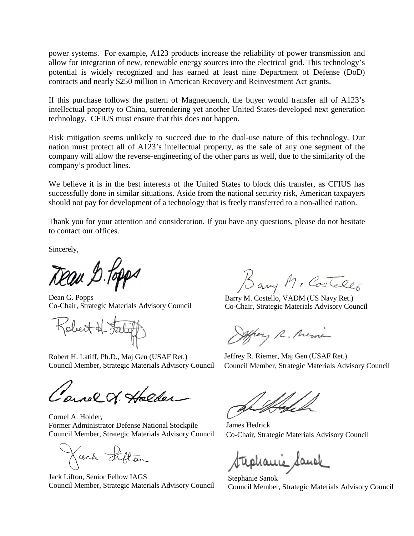power systems. For example, A123 products increase the reliability of power transmission and allow for integration of new, renewable energy sources into the electrical grid. This technology's potential is widely recognized and has earned at least nine Department of Defense (DoD) contracts and nearly \$250 million in American Recovery and Reinvestment Act grants.

If this purchase follows the pattern of Magnequench, the buyer would transfer all of A123's intellectual property to China, surrendering yet another United States-developed next generation technology. CFIUS must ensure that this does not happen.

Risk mitigation seems unlikely to succeed due to the dual-use nature of this technology. Our nation must protect all of A123's intellectual property, as the sale of any one segment of the company will allow the reverse-engineering of the other parts as well, due to the similarity of the company's product lines.

We believe it is in the best interests of the United States to block this transfer, as CFIUS has successfully done in similar situations. Aside from the national security risk, American taxpayers should not pay for development of a technology that is freely transferred to a non-allied nation.

Thank you for your attention and consideration. If you have any questions, please do not hesitate to contact our offices.

Sincerely,

Dean & Popps

Dean G. Popps Co-Chair, Strategic Materials Advisory Council

Jobert of Lat

Robert H. Latiff, Ph.D., Maj Gen (USAF Ret.) Council Member, Strategic Materials Advisory Council

ernel . Holder

Cornel A. Holder, Former Administrator Defense National Stockpile Council Member, Strategic Materials Advisory Council

Kack Fifton

Jack Lifton, Senior Fellow IAGS Council Member, Strategic Materials Advisory Council

Bany Mc Costello

Barry M. Costello, VADM (US Navy Ret.) Co-Chair, Strategic Materials Advisory Council

offrey R. Mema

Jeffrey R. Riemer, Maj Gen (USAF Ret.) Council Member, Strategic Materials Advisory Council

James Hedrick Co-Chair, Strategic Materials Advisory Council

tephanic Sande

Stephanie Sanok Council Member, Strategic Materials Advisory Council